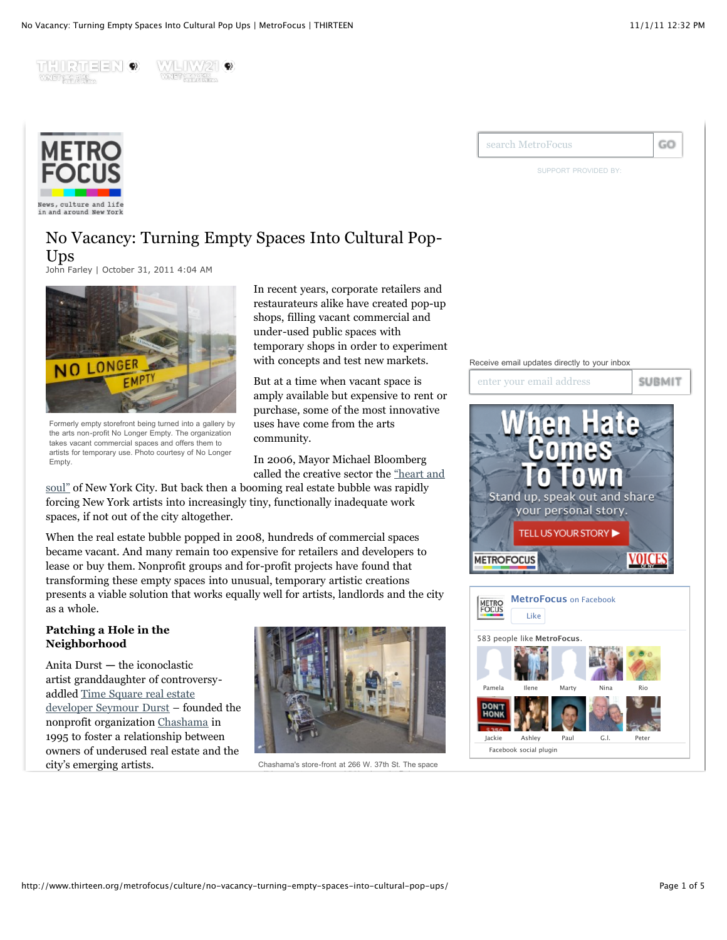THIRTEEN ® WANDT KEYNOLK





News, culture and life in and around New Yor)

# No Vacancy: Turning Empty Spaces Into Cultural Pop-Ups

[John Farley](http://www.thirteen.org/metrofocus/author/farleyj/) | October 31, 2011 4:04 AM



Formerly empty storefront being turned into a gallery by the arts non-profit No Longer Empty. The organization takes vacant commercial spaces and offers them to artists for temporary use. Photo courtesy of No Longer Empty.

In recent years, corporate retailers and restaurateurs alike have created pop-up shops, filling vacant commercial and under-used public spaces with temporary shops in order to experiment with concepts and test new markets.

But at a time when vacant space is amply available but expensive to rent or purchase, some of the most innovative uses have come from the arts community.

In 2006, Mayor Michael Bloomberg called the creative sector the "heart and

[soul" of New York City. But back then a booming real estate bubble was rapidly](http://www.nycfuture.org/images_pdfs/pdfs/TimetobeCreative.pdf) forcing New York artists into increasingly tiny, functionally inadequate work spaces, if not out of the city altogether.

When the real estate bubble popped in 2008, hundreds of commercial spaces became vacant. And many remain too expensive for retailers and developers to lease or buy them. Nonprofit groups and for-profit projects have found that transforming these empty spaces into unusual, temporary artistic creations presents a viable solution that works equally well for artists, landlords and the city as a whole.

### **Patching a Hole in the Neighborhood**

Anita Durst **—** the iconoclastic artist granddaughter of controversy[addled Time Square real estate](http://www.nytimes.com/2002/10/06/magazine/the-dursts-have-odd-properties.html?pagewanted=all&src=pm) developer Seymour Durst – founded the nonprofit organization [Chashama](http://www.chashama.org/) in 1995 to foster a relationship between owners of underused real estate and the city's emerging artists.



Chashama's store-front at 266 W. 37th St. The space





SUPPORT PROVIDED BY:





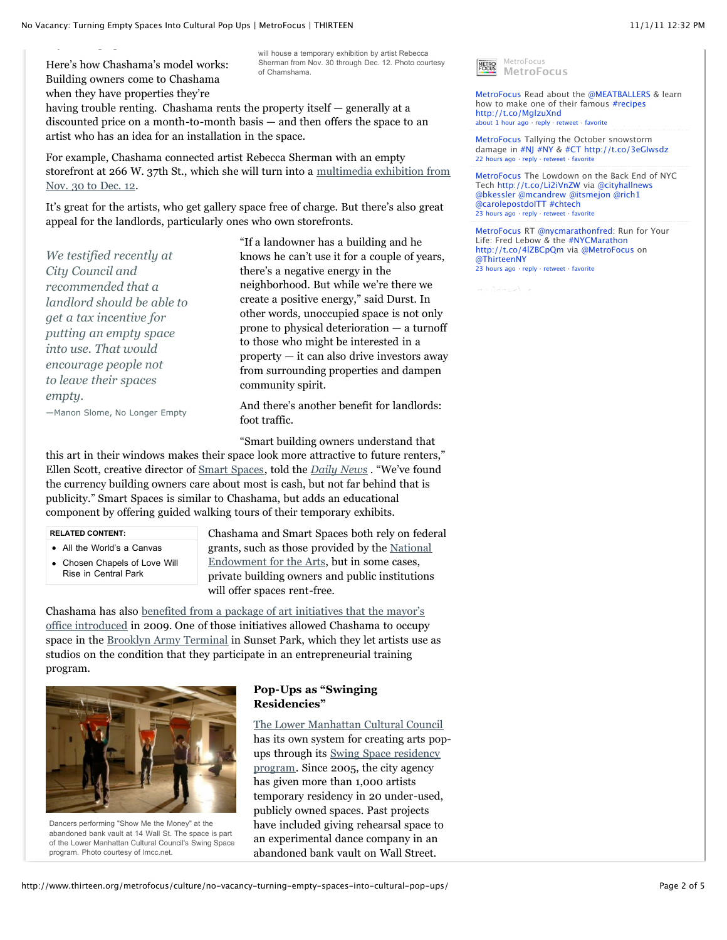Here's how Chashama's model works: Building owners come to Chashama when they have properties they're

will house a temporary exhibition by artist Rebecca Sherman from Nov. 30 through Dec. 12. Photo courtesy of Chamshama.

having trouble renting. Chashama rents the property itself — generally at a discounted price on a month-to-month basis — and then offers the space to an artist who has an idea for an installation in the space.

For example, Chashama connected artist Rebecca Sherman with an empty [storefront at 266 W. 37th St., which she will turn into a multimedia exhibition from](http://www.chashama.org/event/95) Nov. 30 to Dec. 12.

It's great for the artists, who get gallery space free of charge. But there's also great appeal for the landlords, particularly ones who own storefronts.

*We testified recently at City Council and recommended that a landlord should be able to get a tax incentive for putting an empty space into use. That would encourage people not to leave their spaces empty.* —Manon Slome, No Longer Empty

knows he can't use it for a couple of years, there's a negative energy in the neighborhood. But while we're there we create a positive energy," said Durst. In other words, unoccupied space is not only prone to physical deterioration — a turnoff to those who might be interested in a property — it can also drive investors away from surrounding properties and dampen community spirit.

"If a landowner has a building and he

And there's another benefit for landlords: foot traffic.

"Smart building owners understand that

this art in their windows makes their space look more attractive to future renters," Ellen Scott, creative director of [Smart Spaces,](http://www.smartspaces.org/) told the *[Daily News](http://articles.nydailynews.com/2011-03-22/local/29193112_1_art-exhibit-video-art-smart-space/2)* . "We've found the currency building owners care about most is cash, but not far behind that is publicity." Smart Spaces is similar to Chashama, but adds an educational component by offering guided walking tours of their temporary exhibits.

#### **RELATED CONTENT:**

- [All the World's a Canvas](http://www.thirteen.org/metrofocus/culture/all-the-worlds-a-canvas-at-graffiti-art-exhibit/)
- [Chosen Chapels of Love Will](http://www.thirteen.org/metrofocus/news/2011/07/pop-up-chapels-of-love-will-rise-in-central-park/) Rise in Central Park

Chashama and Smart Spaces both rely on federal [grants, such as those provided by the National](http://www.nea.gov/) Endowment for the Arts, but in some cases, private building owners and public institutions will offer spaces rent-free.

Chashama has also benefited from a package of art initiatives that the mayor's [office introduced in 2009. One of those initiatives allowed Chashama to occupy](http://www.nycedc.com/pressroom/pressreleases/pages/mayorbloombergannounces5initiativestostrengtennyculturalsector.aspx) space in the [Brooklyn Army Terminal](http://www.brooklynarmyterminal.com/) in Sunset Park, which they let artists use as studios on the condition that they participate in an entrepreneurial training program.



Dancers performing "Show Me the Money" at the abandoned bank vault at 14 Wall St. The space is part of the Lower Manhattan Cultural Council's Swing Space program. Photo courtesy of Imcc.net.

#### **Pop-Ups as "Swinging Residencies"**

[The Lower Manhattan Cultural Council](http://www.lmcc.net/about) has its own system for creating arts pop[ups through its Swing Space residency](http://www.lmcc.net/residencies/swingspace) program. Since 2005, the city agency has given more than 1,000 artists temporary residency in 20 under-used, publicly owned spaces. Past projects have included giving rehearsal space to an experimental dance company in an abandoned bank vault on Wall Street.



[MetroFocus](http://twitter.com/intent/user?screen_name=MetroFocus) Read about the [@MEATBALLERS](http://twitter.com/MEATBALLERS) & learn how to make one of their famous [#recipes](http://twitter.com/search?q=%23recipes) <http://t.co/MglzuXnd> [about 1 hour ago](http://twitter.com/MetroFocus/status/131380608743120896) · [reply](http://twitter.com/intent/tweet?in_reply_to=131380608743120896) · [retweet](http://twitter.com/intent/retweet?tweet_id=131380608743120896) · [favorite](http://twitter.com/intent/favorite?tweet_id=131380608743120896)

[MetroFocus](http://twitter.com/intent/user?screen_name=MetroFocus) Tallying the October snowstorm damage in [#NJ](http://twitter.com/search?q=%23NJ) [#NY](http://twitter.com/search?q=%23NY) & [#CT](http://twitter.com/search?q=%23CT) <http://t.co/3eGIwsdz> [22 hours ago](http://twitter.com/MetroFocus/status/131066944215453697) · [reply](http://twitter.com/intent/tweet?in_reply_to=131066944215453697) · [retweet](http://twitter.com/intent/retweet?tweet_id=131066944215453697) · [favorite](http://twitter.com/intent/favorite?tweet_id=131066944215453697)

[MetroFocus](http://twitter.com/intent/user?screen_name=MetroFocus) The Lowdown on the Back End of NYC Tech <http://t.co/Li2iVnZW> via [@cityhallnews](http://twitter.com/cityhallnews) [@bkessler](http://twitter.com/bkessler) [@mcandrew](http://twitter.com/mcandrew) [@itsmejon](http://twitter.com/itsmejon) [@rich1](http://twitter.com/rich1) [@carolepostdoITT](http://twitter.com/carolepostdoITT) [#chtech](http://twitter.com/search?q=%23chtech) [23 hours ago](http://twitter.com/MetroFocus/status/131052474055393280) · [reply](http://twitter.com/intent/tweet?in_reply_to=131052474055393280) · [retweet](http://twitter.com/intent/retweet?tweet_id=131052474055393280) · [favorite](http://twitter.com/intent/favorite?tweet_id=131052474055393280)

[MetroFocus](http://twitter.com/intent/user?screen_name=MetroFocus) RT [@nycmarathonfred](http://twitter.com/nycmarathonfred): Run for Your Life: Fred Lebow & the [#NYCMarathon](http://twitter.com/search?q=%23NYCMarathon) <http://t.co/4lZBCpQm>via [@MetroFocus](http://twitter.com/MetroFocus) on [@ThirteenNY](http://twitter.com/ThirteenNY) [23 hours ago](http://twitter.com/MetroFocus/status/131046558601977856) · [reply](http://twitter.com/intent/tweet?in_reply_to=131046558601977856) · [retweet](http://twitter.com/intent/retweet?tweet_id=131046558601977856) · [favorite](http://twitter.com/intent/favorite?tweet_id=131046558601977856)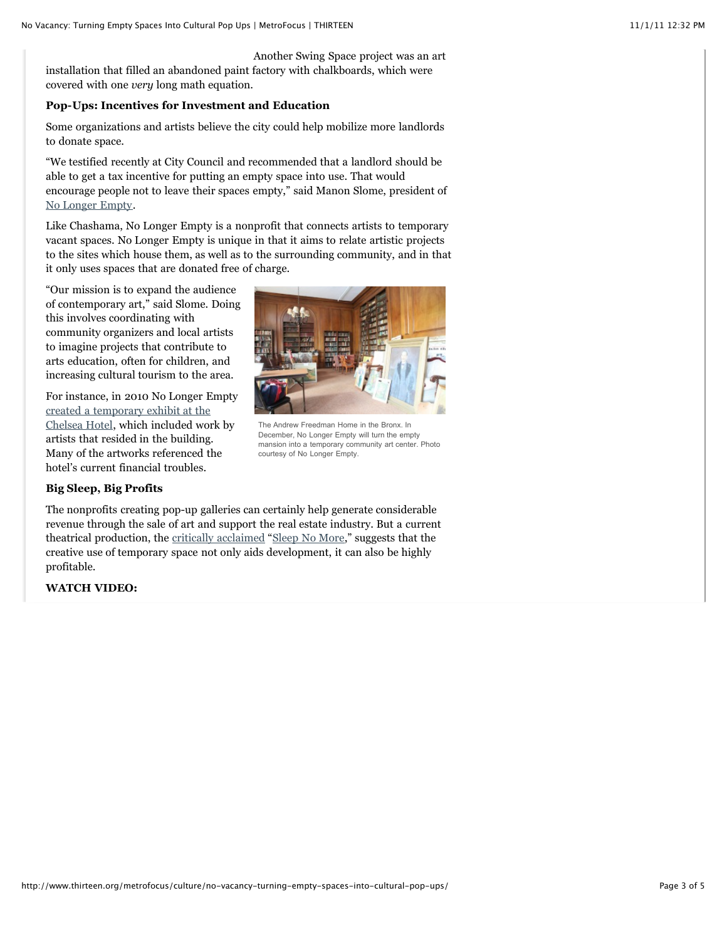Another Swing Space project was an art installation that filled an abandoned paint factory with chalkboards, which were covered with one *very* long math equation.

#### **Pop-Ups: Incentives for Investment and Education**

Some organizations and artists believe the city could help mobilize more landlords to donate space.

"We testified recently at City Council and recommended that a landlord should be able to get a tax incentive for putting an empty space into use. That would encourage people not to leave their spaces empty," said Manon Slome, president of [No Longer Empty.](http://www.nolongerempty.org/)

Like Chashama, No Longer Empty is a nonprofit that connects artists to temporary vacant spaces. No Longer Empty is unique in that it aims to relate artistic projects to the sites which house them, as well as to the surrounding community, and in that it only uses spaces that are donated free of charge.

"Our mission is to expand the audience of contemporary art," said Slome. Doing this involves coordinating with community organizers and local artists to imagine projects that contribute to arts education, often for children, and increasing cultural tourism to the area.

For instance, in 2010 No Longer Empty created a temporary exhibit at the [Chelsea Hotel, which included wor](http://www.nolongerempty.org/nc/home/what-we-do/exhibitions/exhibition/no-longer-empty-in-chelsea-hotel/)k by artists that resided in the building. Many of the artworks referenced the hotel's current financial troubles.



The Andrew Freedman Home in the Bronx. In December, No Longer Empty will turn the empty mansion into a temporary community art center. Photo courtesy of No Longer Empty.

## **Big Sleep, Big Profits**

The nonprofits creating pop-up galleries can certainly help generate considerable revenue through the sale of art and support the real estate industry. But a current theatrical production, the [critically acclaimed](http://theater.nytimes.com/2011/04/14/theater/reviews/sleep-no-more-is-a-macbeth-in-a-hotel-review.html) "[Sleep No More](http://sleepnomorenyc.com/)," suggests that the creative use of temporary space not only aids development, it can also be highly profitable.

### **WATCH VIDEO:**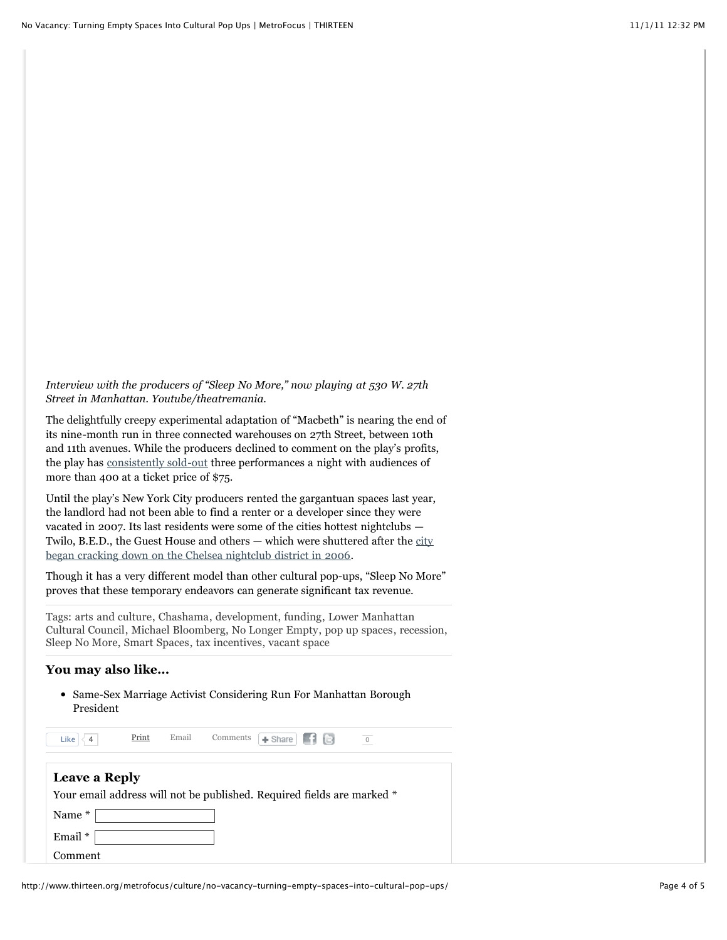*Interview with the producers of "Sleep No More," now playing at 530 W. 27th Street in Manhattan. Youtube/theatremania.*

The delightfully creepy experimental adaptation of "Macbeth" is nearing the end of its nine-month run in three connected warehouses on 27th Street, between 10th and 11th avenues. While the producers declined to comment on the play's profits, the play has [consistently sold-out](https://web.ovationtix.com/trs/cal/30945/1317510000000/prm/) three performances a night with audiences of more than 400 at a ticket price of \$75.

Until the play's New York City producers rented the gargantuan spaces last year, the landlord had not been able to find a renter or a developer since they were vacated in 2007. Its last residents were some of the cities hottest nightclubs — [Twilo, B.E.D., the Guest House and others — which were shuttered after the city](http://nymag.com/news/features/27845/) began cracking down on the Chelsea nightclub district in 2006.

Though it has a very different model than other cultural pop-ups, "Sleep No More" proves that these temporary endeavors can generate significant tax revenue.

Tags: [arts and culture](http://www.thirteen.org/metrofocus/tag/arts-and-culture/), [Chashama](http://www.thirteen.org/metrofocus/tag/chashama/), [development](http://www.thirteen.org/metrofocus/tag/development/), [funding](http://www.thirteen.org/metrofocus/tag/funding/), Lower Manhattan [Cultural Council, Michael Bloomberg, No Longer Empty, pop up spaces, rec](http://www.thirteen.org/metrofocus/tag/lower-manhattan-cultural-council/)[ession](http://www.thirteen.org/metrofocus/tag/recession/), [Sleep No More](http://www.thirteen.org/metrofocus/tag/sleep-no-more/), [Smart Spaces,](http://www.thirteen.org/metrofocus/tag/smart-spaces/) [tax incentives](http://www.thirteen.org/metrofocus/tag/tax-incentives/), [vacant space](http://www.thirteen.org/metrofocus/tag/vacant-space/)

#### **You may also like...**

[Same-Sex Marriage Activist Considering Run For Manhattan Borough](http://www.thirteen.org/metrofocus/news/2011/09/same-sex-marriage-activist-considering-run-for-manhattan-borough-president/) President